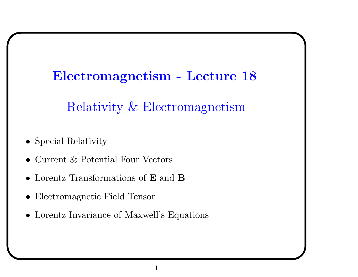#### Electromagnetism - Lecture 18

Relativit y & Electromagnetism

- Special Relativity
- Current & Potential Four Vectors
- Lorentz Transformations of **E** and **B**
- Electromagnetic Field Tensor
- Lorentz In variance of Maxwell's Equations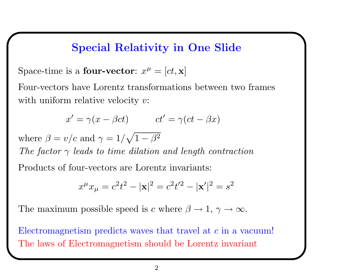## Special Relativity in One Slide

Space-time is a **four-vector**:  $x^{\mu} = [ct, \mathbf{x}]$ 

Four-vectors have Lorentz transformations between two frames with uniform relative velocity v:

$$
x' = \gamma(x - \beta ct) \qquad ct' = \gamma(ct - \beta x)
$$

where  $\beta = v/c$  and  $\gamma = 1/\sqrt{1 - \beta^2}$ The factor  $\gamma$  leads to time dilation and length contraction Products of four-vectors are Lorentz invariants:

$$
x^{\mu}x_{\mu}=c^2t^2-|\mathbf{x}|^2=c^2t'^2-|\mathbf{x}'|^2=s^2
$$

The maximum possible speed is c where  $\beta \to 1, \gamma \to \infty$ .

Electromagnetism predicts waves that travel at <sup>c</sup> in <sup>a</sup> vacuum! The laws of Electromagnetism should be Lorentz invariant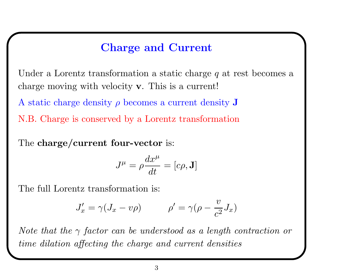# Charge and Current

Under a Lorentz transformation a static charge  $q$  at rest becomes a charge moving with velocity <sup>v</sup>. This is <sup>a</sup> current!

A static charge density  $\rho$  becomes a current density  $J$ 

N.B. Charge is conserved by <sup>a</sup> Lorentz transformation

The charge/current four-vector is:

$$
J^{\mu}=\rho\frac{dx^{\mu}}{dt}=[c\rho,\mathbf{J}]
$$

The full Lorentz transformation is:

$$
J'_x = \gamma (J_x - v\rho) \qquad \rho' = \gamma (\rho - \frac{v}{c^2} J_x)
$$

Note that the  $\gamma$  factor can be understood as a length contraction or time dilation affecting the charge and current densities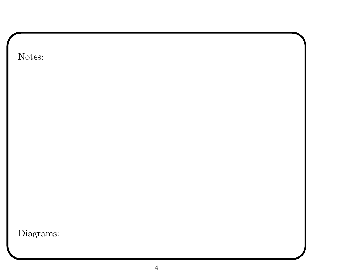| Notes:    |  |  |
|-----------|--|--|
|           |  |  |
|           |  |  |
|           |  |  |
|           |  |  |
|           |  |  |
|           |  |  |
|           |  |  |
|           |  |  |
|           |  |  |
|           |  |  |
| Diagrams: |  |  |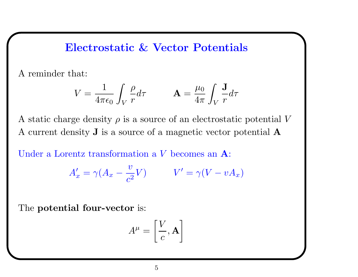Electrostatic & Vector Potentials

A reminder that:

$$
V = \frac{1}{4\pi\epsilon_0} \int_V \frac{\rho}{r} d\tau \qquad \mathbf{A} = \frac{\mu_0}{4\pi} \int_V \frac{\mathbf{J}}{r} d\tau
$$

A static charge density  $\rho$  is a source of an electrostatic potential V A current density J is <sup>a</sup> source of <sup>a</sup> magnetic vector potential A

Under <sup>a</sup> Lorentz transformation <sup>a</sup> V becomes an A:

$$
A'_x = \gamma (A_x - \frac{v}{c^2} V) \qquad V' = \gamma (V - vA_x)
$$

The potential four-vector is:

$$
A^{\mu} = \left[\frac{V}{c}, \mathbf{A}\right]
$$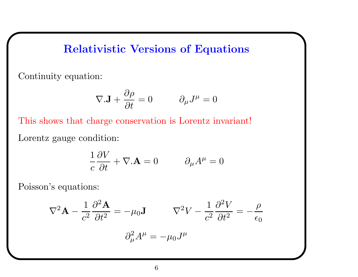# Relativistic Versions of Equations

Continuity equation:

$$
\nabla \mathbf{.J} + \frac{\partial \rho}{\partial t} = 0 \qquad \partial_{\mu} J^{\mu} = 0
$$

This shows that charge conservation is Lorentz invariant! Lorentz gauge condition:

$$
\frac{1}{c}\frac{\partial V}{\partial t} + \nabla.\mathbf{A} = 0 \qquad \partial_{\mu}A^{\mu} = 0
$$

Poisson's equations:

$$
\nabla^2 \mathbf{A} - \frac{1}{c^2} \frac{\partial^2 \mathbf{A}}{\partial t^2} = -\mu_0 \mathbf{J} \qquad \nabla^2 V - \frac{1}{c^2} \frac{\partial^2 V}{\partial t^2} = -\frac{\rho}{\epsilon_0}
$$

$$
\partial_\mu^2 A^\mu = -\mu_0 J^\mu
$$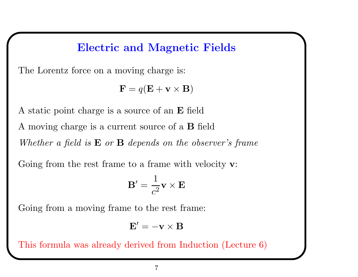## Electric and Magnetic Fields

The Lorentz force on <sup>a</sup> moving charge is:

$$
\mathbf{F} = q(\mathbf{E} + \mathbf{v} \times \mathbf{B})
$$

A static point charge is <sup>a</sup> source of an E field A moving charge is <sup>a</sup> current source of <sup>a</sup> B field Whether a field is  $E$  or  $B$  depends on the observer's frame

Going from the rest frame to a frame with velocity **v**:

$$
\mathbf{B}' = \frac{1}{c^2} \mathbf{v} \times \mathbf{E}
$$

Going from <sup>a</sup> moving frame to the rest frame:

$$
\mathbf{E}'=-\mathbf{v}\times\mathbf{B}
$$

This formula was already derived from Induction (Lecture 6)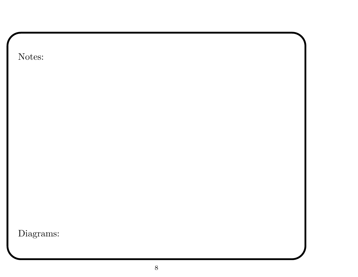| Notes:    |  |  |
|-----------|--|--|
|           |  |  |
|           |  |  |
|           |  |  |
|           |  |  |
|           |  |  |
|           |  |  |
|           |  |  |
|           |  |  |
|           |  |  |
|           |  |  |
| Diagrams: |  |  |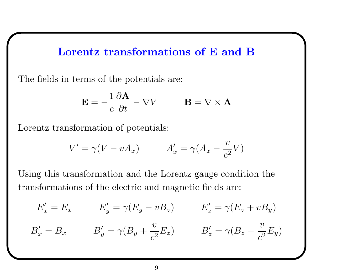### Lorentz transformations of E and B

The fields in terms of the potentials are:

$$
\mathbf{E} = -\frac{1}{c} \frac{\partial \mathbf{A}}{\partial t} - \nabla V \qquad \mathbf{B} = \nabla \times \mathbf{A}
$$

Lorentz transformation of potentials:

$$
V' = \gamma(V - vA_x) \qquad A'_x = \gamma(A_x - \frac{v}{c^2}V)
$$

Using this transformation and the Lorentz gauge condition the transformations of the electric and magnetic fields are:

$$
E'_x = E_x \qquad E'_y = \gamma (E_y - vB_z) \qquad E'_z = \gamma (E_z + vB_y)
$$
  

$$
B'_x = B_x \qquad B'_y = \gamma (B_y + \frac{v}{c^2} E_z) \qquad B'_z = \gamma (B_z - \frac{v}{c^2} E_y)
$$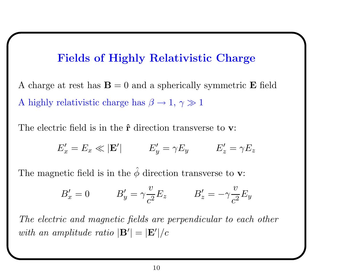## Fields of Highly Relativistic Charge

A charge at rest has  $\mathbf{B} = 0$  and a spherically symmetric **E** field A highly relativistic charge has  $\beta \rightarrow 1, \gamma \gg 1$ 

The electric field is in the  $\hat{\mathbf{r}}$  direction transverse to  $\mathbf{v}$ :

$$
E'_x = E_x \ll |\mathbf{E}'| \qquad E'_y = \gamma E_y \qquad E'_z = \gamma E_z
$$

The magnetic field is in the  $\hat{\phi}$  $\phi$  direction transverse to **v**:

$$
B'_x = 0 \qquad \qquad B'_y = \gamma \frac{v}{c^2} E_z \qquad \qquad B'_z = -\gamma \frac{v}{c^2} E_y
$$

The electric and magnetic fields are perpendicular to each other with an amplitude ratio  $|\mathbf{B}'| = |\mathbf{E}'|/c$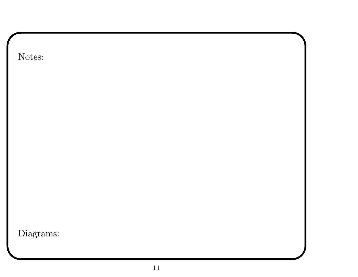| Notes:    |  |  |
|-----------|--|--|
|           |  |  |
|           |  |  |
|           |  |  |
|           |  |  |
|           |  |  |
|           |  |  |
|           |  |  |
|           |  |  |
|           |  |  |
| Diagrams: |  |  |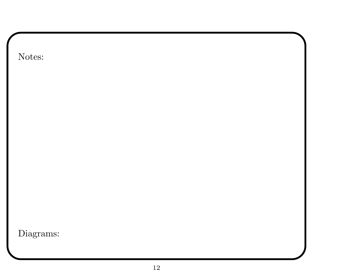| Notes:    |  |  |
|-----------|--|--|
|           |  |  |
|           |  |  |
|           |  |  |
|           |  |  |
|           |  |  |
|           |  |  |
|           |  |  |
|           |  |  |
|           |  |  |
| Diagrams: |  |  |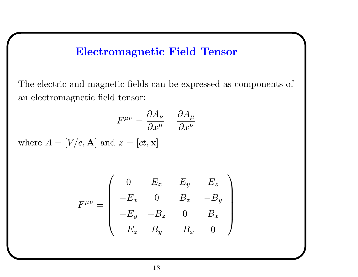# Electromagnetic Field Tensor

The electric and magnetic fields can be expressed as components of an electromagnetic field tensor:

$$
F^{\mu\nu} = \frac{\partial A_{\nu}}{\partial x^{\mu}} - \frac{\partial A_{\mu}}{\partial x^{\nu}}
$$

where  $A = [V/c, \mathbf{A}]$  and  $x = [ct, \mathbf{x}]$ 

$$
F^{\mu\nu} = \begin{pmatrix} 0 & E_x & E_y & E_z \\ -E_x & 0 & B_z & -B_y \\ -E_y & -B_z & 0 & B_x \\ -E_z & B_y & -B_x & 0 \end{pmatrix}
$$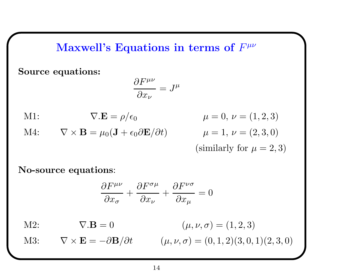#### Maxwell's Equations in terms of  $F^{\mu\nu}$

Source equations:

$$
\frac{\partial F^{\mu\nu}}{\partial x_{\nu}} = J^{\mu}
$$

M1:  $\nabla \cdot \mathbf{E} = \rho/\epsilon_0$ M4:  $\nabla \times \mathbf{B} = \mu_0 (\mathbf{J} + \epsilon_0 \partial \mathbf{E} / \partial t)$ 

$$
\mu = 0, \nu = (1, 2, 3)
$$
  
\n $\mu = 1, \nu = (2, 3, 0)$   
\n(similarly for  $\mu = 2, 3$ )

No-source equations:

$$
\frac{\partial F^{\mu\nu}}{\partial x_{\sigma}} + \frac{\partial F^{\sigma\mu}}{\partial x_{\nu}} + \frac{\partial F^{\nu\sigma}}{\partial x_{\mu}} = 0
$$

M2:  $\nabla \cdot \mathbf{B} = 0$   $(\mu, \nu, \sigma) = (1, 2, 3)$ 

M3:  $\nabla \times \mathbf{E} = -\partial \mathbf{B}/\partial t$   $(\mu, \nu, \sigma) = (0, 1, 2)(3, 0, 1)(2, 3, 0)$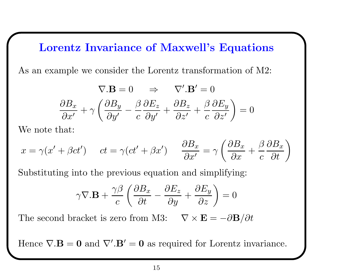#### Lorentz Invariance of Maxwell's Equations

As an example we consider the Lorentz transformation of M2:

$$
\nabla \cdot \mathbf{B} = 0 \quad \Rightarrow \quad \nabla' \cdot \mathbf{B}' = 0
$$

$$
\frac{\partial B_x}{\partial x'} + \gamma \left( \frac{\partial B_y}{\partial y'} - \frac{\beta}{c} \frac{\partial E_z}{\partial y'} + \frac{\partial B_z}{\partial z'} + \frac{\beta}{c} \frac{\partial E_y}{\partial z'} \right) = 0
$$

We note that:

$$
x = \gamma(x' + \beta ct') \qquad ct = \gamma(ct' + \beta x') \qquad \frac{\partial B_x}{\partial x'} = \gamma \left(\frac{\partial B_x}{\partial x} + \frac{\beta}{c} \frac{\partial B_x}{\partial t}\right)
$$

Substituting into the previous equation and simplifying:

$$
\gamma \nabla. \mathbf{B} + \frac{\gamma \beta}{c} \left( \frac{\partial B_x}{\partial t} - \frac{\partial E_z}{\partial y} + \frac{\partial E_y}{\partial z} \right) = 0
$$

The second bracket is zero from M3:  $\nabla \times \mathbf{E} = -\partial \mathbf{B}/\partial t$ 

Hence  $\nabla \cdot \mathbf{B} = \mathbf{0}$  and  $\nabla' \cdot \mathbf{B}' = \mathbf{0}$  as required for Lorentz invariance.